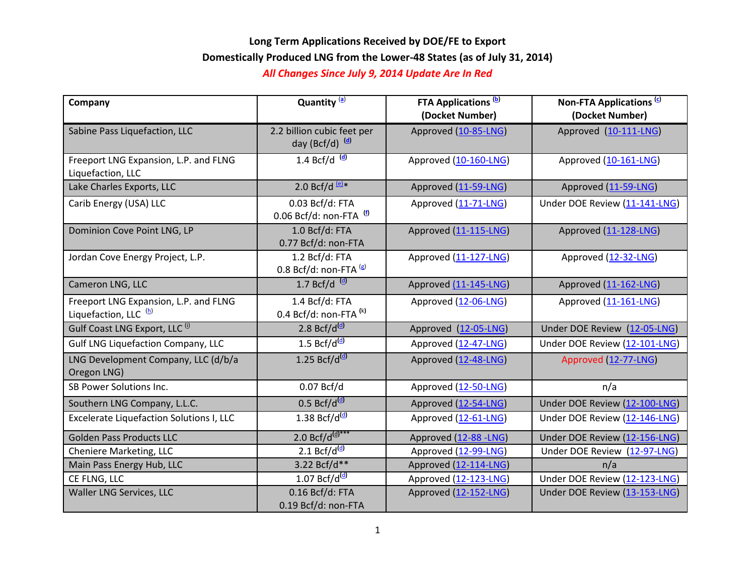# **Long Term Applications Received by DOE/FE to Export Domestically Produced LNG from the Lower-48 States (as of July 31, 2014)**

### *All Changes Since July 9, 2014 Update Are In Red*

| Company                                                                   | Quantity <sup>(a)</sup>                         | <b>FTA Applications (b)</b><br>(Docket Number) | Non-FTA Applications <sup>(c)</sup><br>(Docket Number) |
|---------------------------------------------------------------------------|-------------------------------------------------|------------------------------------------------|--------------------------------------------------------|
| Sabine Pass Liquefaction, LLC                                             | 2.2 billion cubic feet per<br>day (Bcf/d) (d)   | Approved (10-85-LNG)                           | Approved (10-111-LNG)                                  |
| Freeport LNG Expansion, L.P. and FLNG<br>Liquefaction, LLC                | 1.4 Bcf/d $\frac{d}{dx}$                        | Approved (10-160-LNG)                          | Approved (10-161-LNG)                                  |
| Lake Charles Exports, LLC                                                 | 2.0 $Bcf/d$ <sup>(e)*</sup>                     | Approved (11-59-LNG)                           | Approved (11-59-LNG)                                   |
| Carib Energy (USA) LLC                                                    | 0.03 Bcf/d: FTA<br>0.06 Bcf/d: non-FTA $^{(f)}$ | Approved (11-71-LNG)                           | Under DOE Review (11-141-LNG)                          |
| Dominion Cove Point LNG, LP                                               | 1.0 Bcf/d: FTA<br>0.77 Bcf/d: non-FTA           | Approved (11-115-LNG)                          | Approved (11-128-LNG)                                  |
| Jordan Cove Energy Project, L.P.                                          | 1.2 Bcf/d: FTA<br>0.8 Bcf/d: non-FTA $(8)$      | Approved (11-127-LNG)                          | Approved (12-32-LNG)                                   |
| Cameron LNG, LLC                                                          | $1.7 Bcf/d$ <sup>(d)</sup>                      | Approved (11-145-LNG)                          | Approved (11-162-LNG)                                  |
| Freeport LNG Expansion, L.P. and FLNG<br>Liquefaction, LLC <sup>(b)</sup> | 1.4 Bcf/d: FTA<br>0.4 Bcf/d: non-FTA $(k)$      | Approved (12-06-LNG)                           | Approved (11-161-LNG)                                  |
| Gulf Coast LNG Export, LLC <sup>(i)</sup>                                 | 2.8 Bcf/d $(d)$                                 | Approved (12-05-LNG)                           | Under DOE Review (12-05-LNG)                           |
| <b>Gulf LNG Liquefaction Company, LLC</b>                                 | 1.5 $Bcf/d^{(d)}$                               | Approved (12-47-LNG)                           | Under DOE Review (12-101-LNG)                          |
| LNG Development Company, LLC (d/b/a<br>Oregon LNG)                        | 1.25 Bcf/d <sup>(d)</sup>                       | Approved (12-48-LNG)                           | Approved (12-77-LNG)                                   |
| SB Power Solutions Inc.                                                   | 0.07 Bcf/d                                      | Approved (12-50-LNG)                           | n/a                                                    |
| Southern LNG Company, L.L.C.                                              | $0.5$ Bcf/d <sup>(d)</sup>                      | Approved (12-54-LNG)                           | Under DOE Review (12-100-LNG)                          |
| <b>Excelerate Liquefaction Solutions I, LLC</b>                           | 1.38 Bcf/d $(d)$                                | Approved (12-61-LNG)                           | Under DOE Review (12-146-LNG)                          |
| <b>Golden Pass Products LLC</b>                                           | 2.0 Bcf/d $\frac{d}{dx}$ ***                    | Approved (12-88 -LNG)                          | Under DOE Review (12-156-LNG)                          |
| Cheniere Marketing, LLC                                                   | 2.1 Bcf/d $\frac{d}{d}$                         | Approved (12-99-LNG)                           | Under DOE Review (12-97-LNG)                           |
| Main Pass Energy Hub, LLC                                                 | 3.22 Bcf/d**                                    | Approved (12-114-LNG)                          | n/a                                                    |
| CE FLNG, LLC                                                              | $1.07$ Bcf/d <sup>(d)</sup>                     | Approved (12-123-LNG)                          | Under DOE Review (12-123-LNG)                          |
| Waller LNG Services, LLC                                                  | $0.16$ Bcf/d: FTA<br>0.19 Bcf/d: non-FTA        | Approved (12-152-LNG)                          | Under DOE Review (13-153-LNG)                          |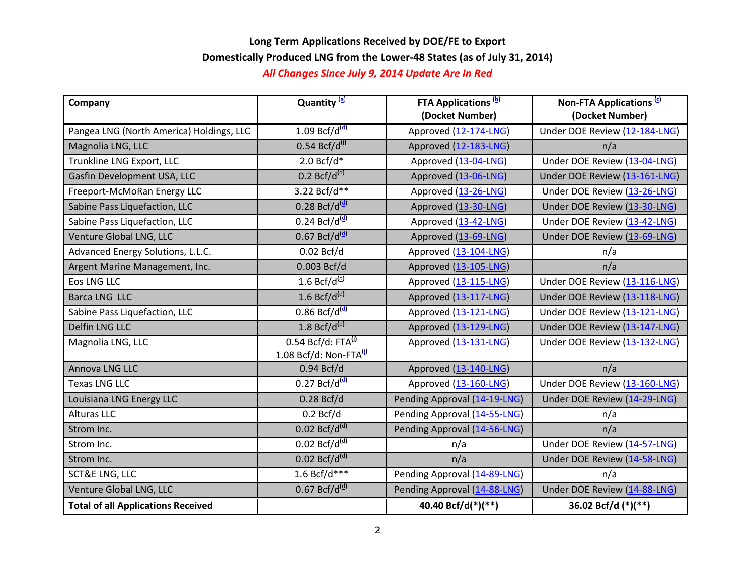# **Long Term Applications Received by DOE/FE to Export Domestically Produced LNG from the Lower-48 States (as of July 31, 2014)**

#### *All Changes Since July 9, 2014 Update Are In Red*

| Company                                   | Quantity <sup>(a)</sup>                                          | <b>FTA Applications</b> <sup>(b)</sup><br>(Docket Number) | Non-FTA Applications <sup>(c)</sup><br>(Docket Number) |
|-------------------------------------------|------------------------------------------------------------------|-----------------------------------------------------------|--------------------------------------------------------|
| Pangea LNG (North America) Holdings, LLC  | $1.09$ Bcf/d <sup>(d)</sup>                                      | Approved (12-174-LNG)                                     | Under DOE Review (12-184-LNG)                          |
| Magnolia LNG, LLC                         | $0.54 Bcf/d^{(j)}$                                               | Approved (12-183-LNG)                                     | n/a                                                    |
| Trunkline LNG Export, LLC                 | $2.0 Bcf/d*$                                                     | Approved (13-04-LNG)                                      | Under DOE Review (13-04-LNG)                           |
| Gasfin Development USA, LLC               | $0.2$ Bcf/d <sup>(d)</sup>                                       | Approved (13-06-LNG)                                      | Under DOE Review (13-161-LNG)                          |
| Freeport-McMoRan Energy LLC               | 3.22 Bcf/d**                                                     | Approved (13-26-LNG)                                      | Under DOE Review (13-26-LNG)                           |
| Sabine Pass Liquefaction, LLC             | $0.28$ Bcf/d <sup>(d)</sup>                                      | Approved (13-30-LNG)                                      | Under DOE Review (13-30-LNG)                           |
| Sabine Pass Liquefaction, LLC             | $0.24$ Bcf/d <sup>(d)</sup>                                      | Approved (13-42-LNG)                                      | Under DOE Review (13-42-LNG)                           |
| Venture Global LNG, LLC                   | $0.67$ Bcf/d <sup>(d)</sup>                                      | Approved (13-69-LNG)                                      | Under DOE Review (13-69-LNG)                           |
| Advanced Energy Solutions, L.L.C.         | 0.02 Bcf/d                                                       | Approved (13-104-LNG)                                     | n/a                                                    |
| Argent Marine Management, Inc.            | 0.003 Bcf/d                                                      | Approved (13-105-LNG)                                     | n/a                                                    |
| <b>Eos LNG LLC</b>                        | $1.6$ Bcf/d <sup>(d)</sup>                                       | Approved (13-115-LNG)                                     | Under DOE Review (13-116-LNG)                          |
| <b>Barca LNG LLC</b>                      | 1.6 Bcf/d $(d)$                                                  | Approved (13-117-LNG)                                     | Under DOE Review (13-118-LNG)                          |
| Sabine Pass Liquefaction, LLC             | $0.86$ Bcf/d <sup>(d)</sup>                                      | Approved (13-121-LNG)                                     | Under DOE Review (13-121-LNG)                          |
| Delfin LNG LLC                            | $1.8$ Bcf/d <sup>(d)</sup>                                       | Approved (13-129-LNG)                                     | Under DOE Review (13-147-LNG)                          |
| Magnolia LNG, LLC                         | $0.54$ Bcf/d: FTA $^{(j)}$<br>1.08 Bcf/d: Non-FTA <sup>(j)</sup> | Approved (13-131-LNG)                                     | Under DOE Review (13-132-LNG)                          |
| Annova LNG LLC                            | 0.94 Bcf/d                                                       | Approved (13-140-LNG)                                     | n/a                                                    |
| <b>Texas LNG LLC</b>                      | $0.27$ Bcf/d <sup>(d)</sup>                                      | Approved (13-160-LNG)                                     | Under DOE Review (13-160-LNG)                          |
| Louisiana LNG Energy LLC                  | $0.28$ Bcf/d                                                     | Pending Approval (14-19-LNG)                              | Under DOE Review (14-29-LNG)                           |
| <b>Alturas LLC</b>                        | 0.2 Bcf/d                                                        | Pending Approval (14-55-LNG)                              | n/a                                                    |
| Strom Inc.                                | $0.02$ Bcf/d <sup>(d)</sup>                                      | Pending Approval (14-56-LNG)                              | n/a                                                    |
| Strom Inc.                                | $0.02$ Bcf/d <sup>(d)</sup>                                      | n/a                                                       | Under DOE Review (14-57-LNG)                           |
| Strom Inc.                                | $0.02$ Bcf/d <sup>(d)</sup>                                      | n/a                                                       | Under DOE Review (14-58-LNG)                           |
| <b>SCT&amp;E LNG, LLC</b>                 | 1.6 Bcf/ $\overline{d^{***}}$                                    | Pending Approval (14-89-LNG)                              | n/a                                                    |
| Venture Global LNG, LLC                   | $0.67$ Bcf/d <sup>(d)</sup>                                      | Pending Approval (14-88-LNG)                              | Under DOE Review (14-88-LNG)                           |
| <b>Total of all Applications Received</b> |                                                                  | 40.40 Bcf/d(*)(**)                                        | 36.02 Bcf/d (*)(**)                                    |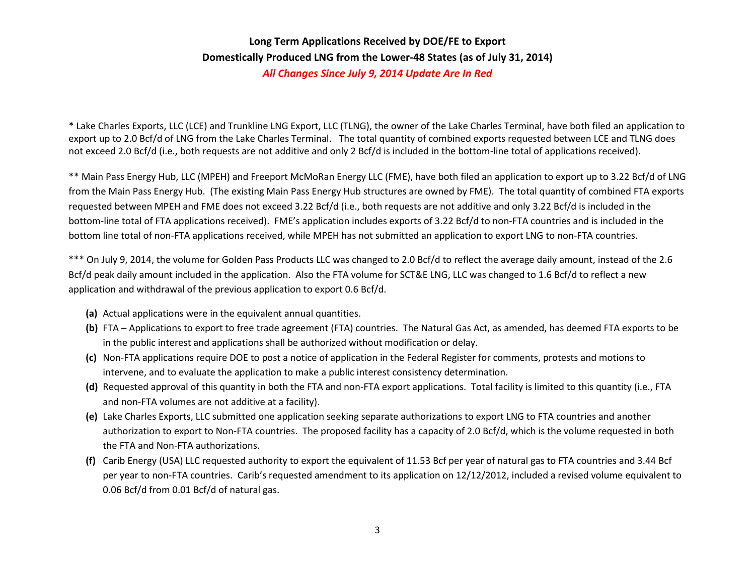# **Long Term Applications Received by DOE/FE to Export Domestically Produced LNG from the Lower-48 States (as of July 31, 2014)** *All Changes Since July 9, 2014 Update Are In Red*

\* Lake Charles Exports, LLC (LCE) and Trunkline LNG Export, LLC (TLNG), the owner of the Lake Charles Terminal, have both filed an application to export up to 2.0 Bcf/d of LNG from the Lake Charles Terminal. The total quantity of combined exports requested between LCE and TLNG does not exceed 2.0 Bcf/d (i.e., both requests are not additive and only 2 Bcf/d is included in the bottom-line total of applications received).

\*\* Main Pass Energy Hub, LLC (MPEH) and Freeport McMoRan Energy LLC (FME), have both filed an application to export up to 3.22 Bcf/d of LNG from the Main Pass Energy Hub. (The existing Main Pass Energy Hub structures are owned by FME). The total quantity of combined FTA exports requested between MPEH and FME does not exceed 3.22 Bcf/d (i.e., both requests are not additive and only 3.22 Bcf/d is included in the bottom-line total of FTA applications received). FME's application includes exports of 3.22 Bcf/d to non-FTA countries and is included in the bottom line total of non-FTA applications received, while MPEH has not submitted an application to export LNG to non-FTA countries.

\*\*\* On July 9, 2014, the volume for Golden Pass Products LLC was changed to 2.0 Bcf/d to reflect the average daily amount, instead of the 2.6 Bcf/d peak daily amount included in the application. Also the FTA volume for SCT&E LNG, LLC was changed to 1.6 Bcf/d to reflect a new application and withdrawal of the previous application to export 0.6 Bcf/d.

- **(a)** Actual applications were in the equivalent annual quantities.
- <span id="page-2-0"></span>**(b)** FTA – Applications to export to free trade agreement (FTA) countries. The Natural Gas Act, as amended, has deemed FTA exports to be in the public interest and applications shall be authorized without modification or delay.
- <span id="page-2-1"></span>**(c)** Non-FTA applications require DOE to post a notice of application in the Federal Register for comments, protests and motions to intervene, and to evaluate the application to make a public interest consistency determination.
- <span id="page-2-2"></span>**(d)** Requested approval of this quantity in both the FTA and non-FTA export applications. Total facility is limited to this quantity (i.e., FTA and non-FTA volumes are not additive at a facility).
- **(e)** Lake Charles Exports, LLC submitted one application seeking separate authorizations to export LNG to FTA countries and another authorization to export to Non-FTA countries. The proposed facility has a capacity of 2.0 Bcf/d, which is the volume requested in both the FTA and Non-FTA authorizations.
- <span id="page-2-3"></span>**(f)** Carib Energy (USA) LLC requested authority to export the equivalent of 11.53 Bcf per year of natural gas to FTA countries and 3.44 Bcf per year to non-FTA countries. Carib's requested amendment to its application on 12/12/2012, included a revised volume equivalent to 0.06 Bcf/d from 0.01 Bcf/d of natural gas.